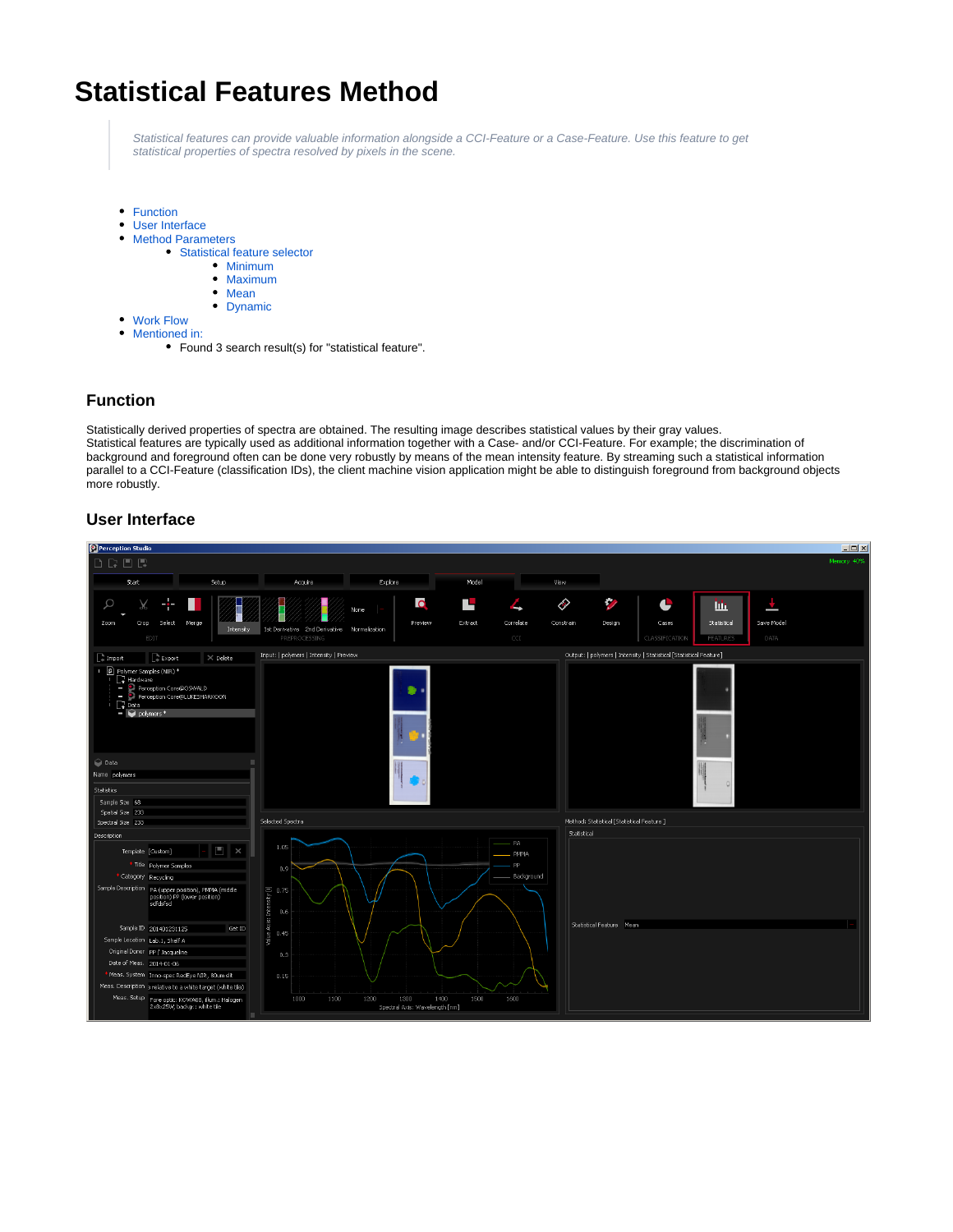# **Statistical Features Method**

Statistical features can provide valuable information alongside a CCI-Feature or a Case-Feature. Use this feature to get statistical properties of spectra resolved by pixels in the scene.

- [Function](#page-0-0)
- [User Interface](#page-0-1)
- $\bullet$ [Method Parameters](#page-1-0)
	- [Statistical feature selector](#page-1-1)
		- [Minimum](#page-1-2)
		- [Maximum](#page-1-3)
		- [Mean](#page-1-4)
		- [Dynamic](#page-1-5)
- [Work Flow](#page-1-6) [Mentioned in:](#page-1-7)
	- Found 3 search result(s) for "statistical feature".

# <span id="page-0-0"></span>**Function**

Statistically derived properties of spectra are obtained. The resulting image describes statistical values by their gray values. Statistical features are typically used as additional information together with a Case- and/or CCI-Feature. For example; the discrimination of background and foreground often can be done very robustly by means of the mean intensity feature. By streaming such a statistical information parallel to a CCI-Feature (classification IDs), the client machine vision application might be able to distinguish foreground from background objects more robustly.

## **User Interface**

<span id="page-0-1"></span>